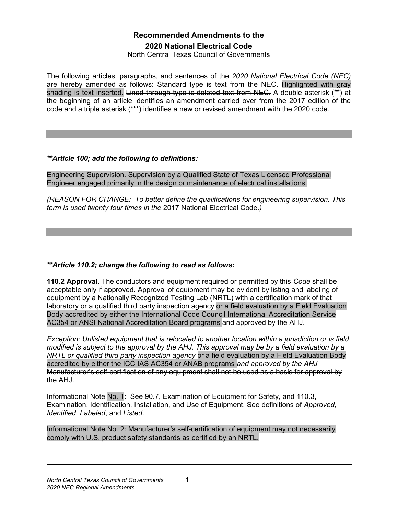# Recommended Amendments to the 2020 National Electrical Code

North Central Texas Council of Governments

The following articles, paragraphs, and sentences of the 2020 National Electrical Code (NEC) are hereby amended as follows: Standard type is text from the NEC. Highlighted with gray shading is text inserted. Lined through type is deleted text from NEC. A double asterisk (\*\*) at the beginning of an article identifies an amendment carried over from the 2017 edition of the code and a triple asterisk (\*\*\*) identifies a new or revised amendment with the 2020 code.

### \*\*Article 100; add the following to definitions:

Engineering Supervision. Supervision by a Qualified State of Texas Licensed Professional Engineer engaged primarily in the design or maintenance of electrical installations.

(REASON FOR CHANGE: To better define the qualifications for engineering supervision. This term is used twenty four times in the 2017 National Electrical Code.)

# \*\*Article 110.2; change the following to read as follows:

110.2 Approval. The conductors and equipment required or permitted by this Code shall be acceptable only if approved. Approval of equipment may be evident by listing and labeling of equipment by a Nationally Recognized Testing Lab (NRTL) with a certification mark of that laboratory or a qualified third party inspection agency or a field evaluation by a Field Evaluation Body accredited by either the International Code Council International Accreditation Service AC354 or ANSI National Accreditation Board programs and approved by the AHJ.

Exception: Unlisted equipment that is relocated to another location within a jurisdiction or is field modified is subject to the approval by the AHJ. This approval may be by a field evaluation by a NRTL or qualified third party inspection agency or a field evaluation by a Field Evaluation Body accredited by either the ICC IAS AC354 or ANAB programs and approved by the AHJ Manufacturer's self-certification of any equipment shall not be used as a basis for approval by the AHJ.

Informational Note No. 1: See 90.7, Examination of Equipment for Safety, and 110.3, Examination, Identification, Installation, and Use of Equipment. See definitions of Approved, Identified, Labeled, and Listed.

Informational Note No. 2: Manufacturer's self-certification of equipment may not necessarily comply with U.S. product safety standards as certified by an NRTL.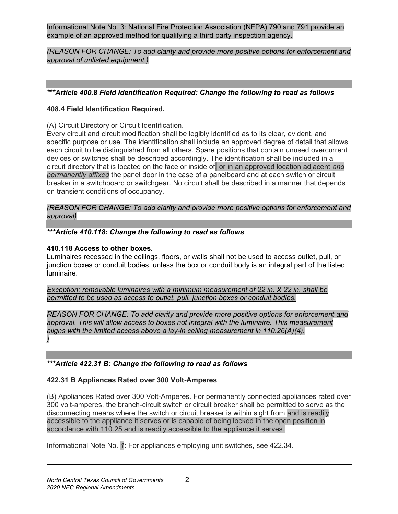Informational Note No. 3: National Fire Protection Association (NFPA) 790 and 791 provide an example of an approved method for qualifying a third party inspection agency.

(REASON FOR CHANGE: To add clarity and provide more positive options for enforcement and approval of unlisted equipment.)

### \*\*\*Article 400.8 Field Identification Required: Change the following to read as follows

#### 408.4 Field Identification Required.

(A) Circuit Directory or Circuit Identification.

Every circuit and circuit modification shall be legibly identified as to its clear, evident, and specific purpose or use. The identification shall include an approved degree of detail that allows each circuit to be distinguished from all others. Spare positions that contain unused overcurrent devices or switches shall be described accordingly. The identification shall be included in a circuit directory that is located on the face or inside of, or in an approved location adjacent and permanently affixed the panel door in the case of a panelboard and at each switch or circuit breaker in a switchboard or switchgear. No circuit shall be described in a manner that depends on transient conditions of occupancy.

(REASON FOR CHANGE: To add clarity and provide more positive options for enforcement and approval)

\*\*\*Article 410.118: Change the following to read as follows

#### 410.118 Access to other boxes.

Luminaires recessed in the ceilings, floors, or walls shall not be used to access outlet, pull, or junction boxes or conduit bodies, unless the box or conduit body is an integral part of the listed luminaire.

Exception: removable luminaires with a minimum measurement of 22 in. X 22 in. shall be permitted to be used as access to outlet, pull, junction boxes or conduit bodies.

REASON FOR CHANGE: To add clarity and provide more positive options for enforcement and approval. This will allow access to boxes not integral with the luminaire. This measurement aligns with the limited access above a lay-in ceiling measurement in 110.26(A)(4). )

#### \*\*\*Article 422.31 B: Change the following to read as follows

# 422.31 B Appliances Rated over 300 Volt-Amperes

(B) Appliances Rated over 300 Volt-Amperes. For permanently connected appliances rated over 300 volt-amperes, the branch-circuit switch or circuit breaker shall be permitted to serve as the disconnecting means where the switch or circuit breaker is within sight from and is readily accessible to the appliance it serves or is capable of being locked in the open position in accordance with 110.25 and is readily accessible to the appliance it serves.

Informational Note No. 1: For appliances employing unit switches, see 422.34.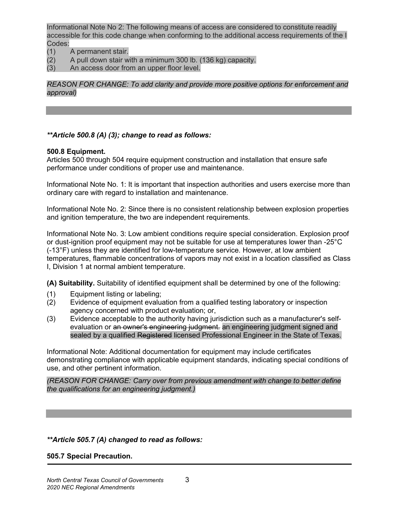Informational Note No 2: The following means of access are considered to constitute readily accessible for this code change when conforming to the additional access requirements of the I Codes:

- (1) A permanent stair.
- (2) A pull down stair with a minimum 300 lb. (136 kg) capacity.
- (3) An access door from an upper floor level.

REASON FOR CHANGE: To add clarity and provide more positive options for enforcement and approval)

### \*\*Article 500.8 (A) (3); change to read as follows:

#### 500.8 Equipment.

Articles 500 through 504 require equipment construction and installation that ensure safe performance under conditions of proper use and maintenance.

Informational Note No. 1: It is important that inspection authorities and users exercise more than ordinary care with regard to installation and maintenance.

Informational Note No. 2: Since there is no consistent relationship between explosion properties and ignition temperature, the two are independent requirements.

Informational Note No. 3: Low ambient conditions require special consideration. Explosion proof or dust-ignition proof equipment may not be suitable for use at temperatures lower than -25°C (-13°F) unless they are identified for low-temperature service. However, at low ambient temperatures, flammable concentrations of vapors may not exist in a location classified as Class I, Division 1 at normal ambient temperature.

(A) Suitability. Suitability of identified equipment shall be determined by one of the following:

- (1) Equipment listing or labeling;
- (2) Evidence of equipment evaluation from a qualified testing laboratory or inspection agency concerned with product evaluation; or,
- (3) Evidence acceptable to the authority having jurisdiction such as a manufacturer's selfevaluation or an owner's engineering judgment. an engineering judgment signed and sealed by a qualified Registered licensed Professional Engineer in the State of Texas.

Informational Note: Additional documentation for equipment may include certificates demonstrating compliance with applicable equipment standards, indicating special conditions of use, and other pertinent information.

(REASON FOR CHANGE: Carry over from previous amendment with change to better define the qualifications for an engineering judgment.)

#### \*\*Article 505.7 (A) changed to read as follows:

505.7 Special Precaution.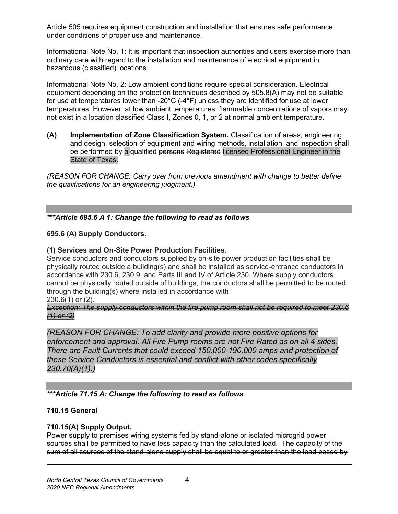Article 505 requires equipment construction and installation that ensures safe performance under conditions of proper use and maintenance.

Informational Note No. 1: It is important that inspection authorities and users exercise more than ordinary care with regard to the installation and maintenance of electrical equipment in hazardous (classified) locations.

Informational Note No. 2: Low ambient conditions require special consideration. Electrical equipment depending on the protection techniques described by 505.8(A) may not be suitable for use at temperatures lower than -20°C (-4°F) unless they are identified for use at lower temperatures. However, at low ambient temperatures, flammable concentrations of vapors may not exist in a location classified Class I, Zones 0, 1, or 2 at normal ambient temperature.

(A) Implementation of Zone Classification System. Classification of areas, engineering and design, selection of equipment and wiring methods, installation, and inspection shall be performed by a qualified persons Registered licensed Professional Engineer in the State of Texas.

(REASON FOR CHANGE: Carry over from previous amendment with change to better define the qualifications for an engineering judgment.)

# \*\*\*Article 695.6 A 1: Change the following to read as follows

695.6 (A) Supply Conductors.

# (1) Services and On-Site Power Production Facilities.

Service conductors and conductors supplied by on-site power production facilities shall be physically routed outside a building(s) and shall be installed as service-entrance conductors in accordance with 230.6, 230.9, and Parts III and IV of Article 230. Where supply conductors cannot be physically routed outside of buildings, the conductors shall be permitted to be routed through the building(s) where installed in accordance with 230.6(1) or (2).

#### Exception: The supply conductors within the fire pump room shall not be required to meet 230.6 (1) or (2)

(REASON FOR CHANGE: To add clarity and provide more positive options for enforcement and approval. All Fire Pump rooms are not Fire Rated as on all 4 sides. There are Fault Currents that could exceed 150,000-190,000 amps and protection of these Service Conductors is essential and conflict with other codes specifically 230.70(A)(1).)

# \*\*\*Article 71.15 A: Change the following to read as follows

# 710.15 General

# 710.15(A) Supply Output.

Power supply to premises wiring systems fed by stand-alone or isolated microgrid power sources shall be permitted to have less capacity than the calculated load. The capacity of the sum of all sources of the stand-alone supply shall be equal to or greater than the load posed by